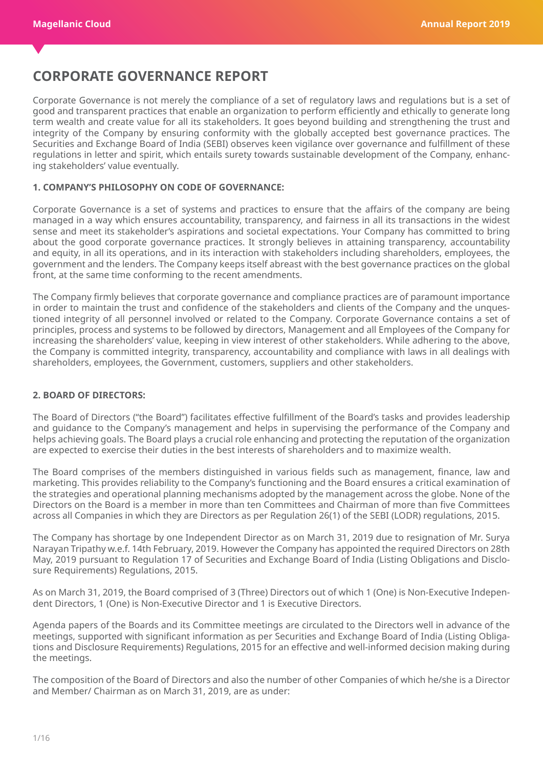# **CORPORATE GOVERNANCE REPORT**

Corporate Governance is not merely the compliance of a set of regulatory laws and regulations but is a set of good and transparent practices that enable an organization to perform efficiently and ethically to generate long term wealth and create value for all its stakeholders. It goes beyond building and strengthening the trust and integrity of the Company by ensuring conformity with the globally accepted best governance practices. The Securities and Exchange Board of India (SEBI) observes keen vigilance over governance and fulfillment of these regulations in letter and spirit, which entails surety towards sustainable development of the Company, enhancing stakeholders' value eventually.

## **1. COMPANY'S PHILOSOPHY ON CODE OF GOVERNANCE:**

Corporate Governance is a set of systems and practices to ensure that the affairs of the company are being managed in a way which ensures accountability, transparency, and fairness in all its transactions in the widest sense and meet its stakeholder's aspirations and societal expectations. Your Company has committed to bring about the good corporate governance practices. It strongly believes in attaining transparency, accountability and equity, in all its operations, and in its interaction with stakeholders including shareholders, employees, the government and the lenders. The Company keeps itself abreast with the best governance practices on the global front, at the same time conforming to the recent amendments.

The Company firmly believes that corporate governance and compliance practices are of paramount importance in order to maintain the trust and confidence of the stakeholders and clients of the Company and the unquestioned integrity of all personnel involved or related to the Company. Corporate Governance contains a set of principles, process and systems to be followed by directors, Management and all Employees of the Company for increasing the shareholders' value, keeping in view interest of other stakeholders. While adhering to the above, the Company is committed integrity, transparency, accountability and compliance with laws in all dealings with shareholders, employees, the Government, customers, suppliers and other stakeholders.

## **2. BOARD OF DIRECTORS:**

The Board of Directors ("the Board") facilitates effective fulfillment of the Board's tasks and provides leadership and guidance to the Company's management and helps in supervising the performance of the Company and helps achieving goals. The Board plays a crucial role enhancing and protecting the reputation of the organization are expected to exercise their duties in the best interests of shareholders and to maximize wealth.

The Board comprises of the members distinguished in various fields such as management, finance, law and marketing. This provides reliability to the Company's functioning and the Board ensures a critical examination of the strategies and operational planning mechanisms adopted by the management across the globe. None of the Directors on the Board is a member in more than ten Committees and Chairman of more than five Committees across all Companies in which they are Directors as per Regulation 26(1) of the SEBI (LODR) regulations, 2015.

The Company has shortage by one Independent Director as on March 31, 2019 due to resignation of Mr. Surya Narayan Tripathy w.e.f. 14th February, 2019. However the Company has appointed the required Directors on 28th May, 2019 pursuant to Regulation 17 of Securities and Exchange Board of India (Listing Obligations and Disclosure Requirements) Regulations, 2015.

As on March 31, 2019, the Board comprised of 3 (Three) Directors out of which 1 (One) is Non-Executive Independent Directors, 1 (One) is Non-Executive Director and 1 is Executive Directors.

Agenda papers of the Boards and its Committee meetings are circulated to the Directors well in advance of the meetings, supported with significant information as per Securities and Exchange Board of India (Listing Obligations and Disclosure Requirements) Regulations, 2015 for an effective and well-informed decision making during the meetings.

The composition of the Board of Directors and also the number of other Companies of which he/she is a Director and Member/ Chairman as on March 31, 2019, are as under: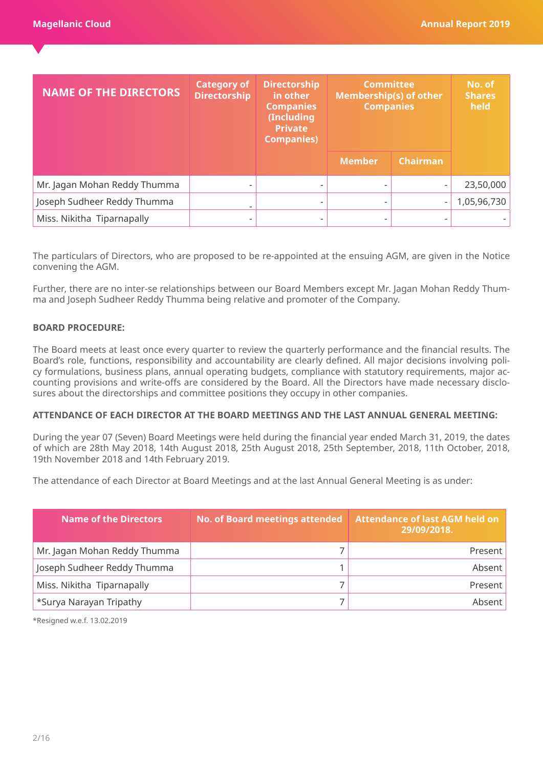| <b>NAME OF THE DIRECTORS</b> | <b>Category of</b><br><b>Directorship</b> | <b>Directorship</b><br>in other<br><b>Companies</b><br>(Including<br><b>Private</b><br><b>Companies)</b> | <b>Committee</b><br><b>Membership(s) of other</b><br><b>Companies</b> |                          | No. of<br><b>Shares</b><br>held |
|------------------------------|-------------------------------------------|----------------------------------------------------------------------------------------------------------|-----------------------------------------------------------------------|--------------------------|---------------------------------|
|                              |                                           |                                                                                                          | <b>Member</b>                                                         | <b>Chairman</b>          |                                 |
| Mr. Jagan Mohan Reddy Thumma |                                           |                                                                                                          |                                                                       | $\overline{\phantom{0}}$ | 23,50,000                       |
| Joseph Sudheer Reddy Thumma  | $\overline{\phantom{a}}$                  |                                                                                                          |                                                                       | -                        | 1,05,96,730                     |
| Miss. Nikitha Tiparnapally   |                                           |                                                                                                          |                                                                       | $\overline{a}$           |                                 |

The particulars of Directors, who are proposed to be re-appointed at the ensuing AGM, are given in the Notice convening the AGM.

Further, there are no inter-se relationships between our Board Members except Mr. Jagan Mohan Reddy Thumma and Joseph Sudheer Reddy Thumma being relative and promoter of the Company.

#### **BOARD PROCEDURE:**

The Board meets at least once every quarter to review the quarterly performance and the financial results. The Board's role, functions, responsibility and accountability are clearly defined. All major decisions involving policy formulations, business plans, annual operating budgets, compliance with statutory requirements, major accounting provisions and write-offs are considered by the Board. All the Directors have made necessary disclosures about the directorships and committee positions they occupy in other companies.

## **ATTENDANCE OF EACH DIRECTOR AT THE BOARD MEETINGS AND THE LAST ANNUAL GENERAL MEETING:**

During the year 07 (Seven) Board Meetings were held during the financial year ended March 31, 2019, the dates of which are 28th May 2018, 14th August 2018, 25th August 2018, 25th September, 2018, 11th October, 2018, 19th November 2018 and 14th February 2019.

The attendance of each Director at Board Meetings and at the last Annual General Meeting is as under:

| <b>Name of the Directors</b> | No. of Board meetings attended | <b>Attendance of last AGM held on</b><br>29/09/2018. |
|------------------------------|--------------------------------|------------------------------------------------------|
| Mr. Jagan Mohan Reddy Thumma |                                | Present                                              |
| Joseph Sudheer Reddy Thumma  |                                | Absent                                               |
| Miss. Nikitha Tiparnapally   |                                | Present                                              |
| *Surya Narayan Tripathy      |                                | Absent                                               |

\*Resigned w.e.f. 13.02.2019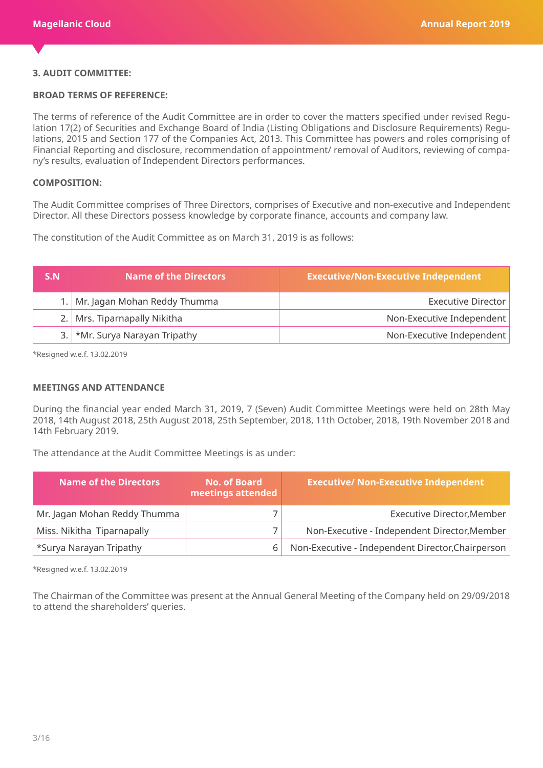## **3. AUDIT COMMITTEE:**

## **BROAD TERMS OF REFERENCE:**

The terms of reference of the Audit Committee are in order to cover the matters specified under revised Regulation 17(2) of Securities and Exchange Board of India (Listing Obligations and Disclosure Requirements) Regulations, 2015 and Section 177 of the Companies Act, 2013. This Committee has powers and roles comprising of Financial Reporting and disclosure, recommendation of appointment/ removal of Auditors, reviewing of company's results, evaluation of Independent Directors performances.

#### **COMPOSITION:**

The Audit Committee comprises of Three Directors, comprises of Executive and non-executive and Independent Director. All these Directors possess knowledge by corporate finance, accounts and company law.

The constitution of the Audit Committee as on March 31, 2019 is as follows:

| $S_{.}N$ | <b>Name of the Directors</b>    | <b>Executive/Non-Executive Independent</b> |
|----------|---------------------------------|--------------------------------------------|
|          | 1. Mr. Jagan Mohan Reddy Thumma | <b>Executive Director</b>                  |
|          | 2. Mrs. Tiparnapally Nikitha    | Non-Executive Independent                  |
|          | 3. *Mr. Surya Narayan Tripathy  | Non-Executive Independent                  |

\*Resigned w.e.f. 13.02.2019

## **MEETINGS AND ATTENDANCE**

During the financial year ended March 31, 2019, 7 (Seven) Audit Committee Meetings were held on 28th May 2018, 14th August 2018, 25th August 2018, 25th September, 2018, 11th October, 2018, 19th November 2018 and 14th February 2019.

The attendance at the Audit Committee Meetings is as under:

| <b>Name of the Directors</b> | <b>No. of Board</b><br>meetings attended | <b>Executive/ Non-Executive Independent</b>       |
|------------------------------|------------------------------------------|---------------------------------------------------|
| Mr. Jagan Mohan Reddy Thumma |                                          | Executive Director, Member                        |
| Miss. Nikitha Tiparnapally   |                                          | Non-Executive - Independent Director, Member      |
| *Surya Narayan Tripathy      | 6                                        | Non-Executive - Independent Director, Chairperson |

\*Resigned w.e.f. 13.02.2019

The Chairman of the Committee was present at the Annual General Meeting of the Company held on 29/09/2018 to attend the shareholders' queries.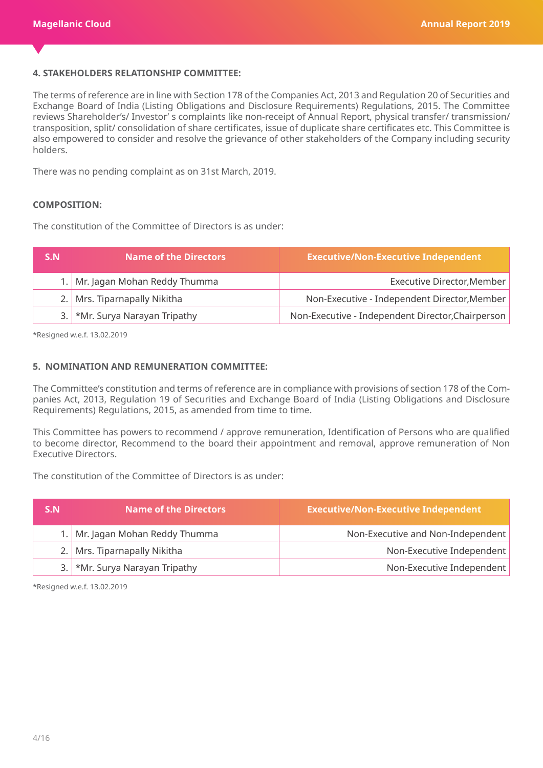## **4. STAKEHOLDERS RELATIONSHIP COMMITTEE:**

The terms of reference are in line with Section 178 of the Companies Act, 2013 and Regulation 20 of Securities and Exchange Board of India (Listing Obligations and Disclosure Requirements) Regulations, 2015. The Committee reviews Shareholder's/ Investor' s complaints like non-receipt of Annual Report, physical transfer/ transmission/ transposition, split/ consolidation of share certificates, issue of duplicate share certificates etc. This Committee is also empowered to consider and resolve the grievance of other stakeholders of the Company including security holders.

There was no pending complaint as on 31st March, 2019.

## **COMPOSITION:**

The constitution of the Committee of Directors is as under:

| S N | <b>Name of the Directors</b>    | <b>Executive/Non-Executive Independent</b>        |
|-----|---------------------------------|---------------------------------------------------|
|     | 1. Mr. Jagan Mohan Reddy Thumma | <b>Executive Director, Member</b>                 |
|     | 2. Mrs. Tiparnapally Nikitha    | Non-Executive - Independent Director, Member      |
|     | 3. *Mr. Surya Narayan Tripathy  | Non-Executive - Independent Director, Chairperson |

\*Resigned w.e.f. 13.02.2019

#### **5. NOMINATION AND REMUNERATION COMMITTEE:**

The Committee's constitution and terms of reference are in compliance with provisions of section 178 of the Companies Act, 2013, Regulation 19 of Securities and Exchange Board of India (Listing Obligations and Disclosure Requirements) Regulations, 2015, as amended from time to time.

This Committee has powers to recommend / approve remuneration, Identification of Persons who are qualified to become director, Recommend to the board their appointment and removal, approve remuneration of Non Executive Directors.

The constitution of the Committee of Directors is as under:

| S.N | <b>Name of the Directors</b>    | <b>Executive/Non-Executive Independent</b> |
|-----|---------------------------------|--------------------------------------------|
|     | 1. Mr. Jagan Mohan Reddy Thumma | Non-Executive and Non-Independent          |
|     | 2. Mrs. Tiparnapally Nikitha    | Non-Executive Independent                  |
| 3.  | *Mr. Surya Narayan Tripathy     | Non-Executive Independent                  |

\*Resigned w.e.f. 13.02.2019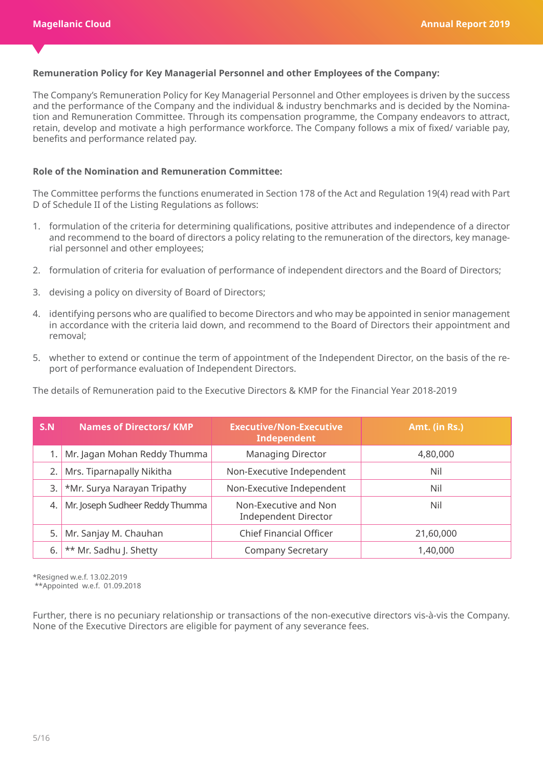#### **Remuneration Policy for Key Managerial Personnel and other Employees of the Company:**

The Company's Remuneration Policy for Key Managerial Personnel and Other employees is driven by the success and the performance of the Company and the individual & industry benchmarks and is decided by the Nomination and Remuneration Committee. Through its compensation programme, the Company endeavors to attract, retain, develop and motivate a high performance workforce. The Company follows a mix of fixed/ variable pay, benefits and performance related pay.

#### **Role of the Nomination and Remuneration Committee:**

The Committee performs the functions enumerated in Section 178 of the Act and Regulation 19(4) read with Part D of Schedule II of the Listing Regulations as follows:

- 1. formulation of the criteria for determining qualifications, positive attributes and independence of a director and recommend to the board of directors a policy relating to the remuneration of the directors, key managerial personnel and other employees;
- 2. formulation of criteria for evaluation of performance of independent directors and the Board of Directors;
- 3. devising a policy on diversity of Board of Directors;
- 4. identifying persons who are qualified to become Directors and who may be appointed in senior management in accordance with the criteria laid down, and recommend to the Board of Directors their appointment and removal;
- 5. whether to extend or continue the term of appointment of the Independent Director, on the basis of the report of performance evaluation of Independent Directors.

The details of Remuneration paid to the Executive Directors & KMP for the Financial Year 2018-2019

| S.N | <b>Names of Directors/ KMP</b>  | <b>Executive/Non-Executive</b><br><b>Independent</b> | Amt. (in Rs.) |
|-----|---------------------------------|------------------------------------------------------|---------------|
|     | Mr. Jagan Mohan Reddy Thumma    | <b>Managing Director</b>                             | 4,80,000      |
|     | Mrs. Tiparnapally Nikitha       | Non-Executive Independent                            | Nil           |
| 3.  | *Mr. Surya Narayan Tripathy     | Non-Executive Independent                            | Nil           |
| 4.  | Mr. Joseph Sudheer Reddy Thumma | Non-Executive and Non<br><b>Independent Director</b> | Nil           |
| 5.  | Mr. Sanjay M. Chauhan           | <b>Chief Financial Officer</b>                       | 21,60,000     |
| 6.  | ** Mr. Sadhu J. Shetty          | <b>Company Secretary</b>                             | 1,40,000      |

\*Resigned w.e.f. 13.02.2019

\*\*Appointed w.e.f. 01.09.2018

Further, there is no pecuniary relationship or transactions of the non-executive directors vis-à-vis the Company. None of the Executive Directors are eligible for payment of any severance fees.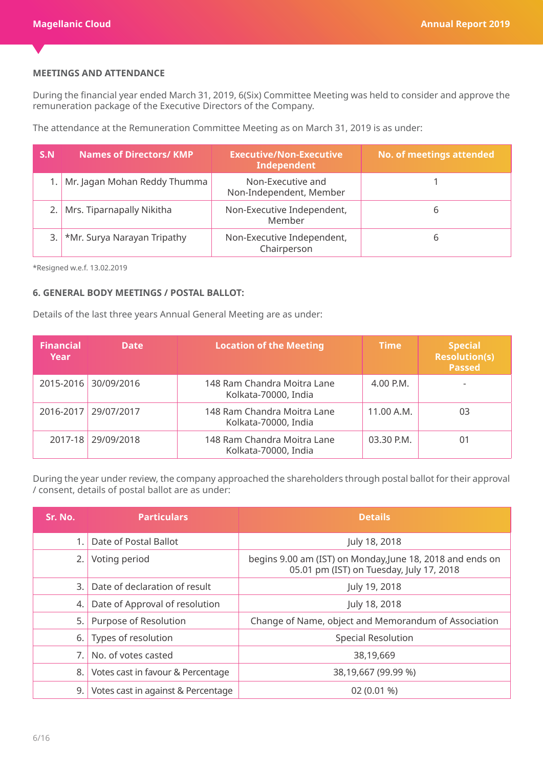# **MEETINGS AND ATTENDANCE**

During the financial year ended March 31, 2019, 6(Six) Committee Meeting was held to consider and approve the remuneration package of the Executive Directors of the Company.

The attendance at the Remuneration Committee Meeting as on March 31, 2019 is as under:

| S.N | <b>Names of Directors/ KMP</b>     | <b>Executive/Non-Executive</b><br><b>Independent</b> | <b>No. of meetings attended</b> |
|-----|------------------------------------|------------------------------------------------------|---------------------------------|
|     | Mr. Jagan Mohan Reddy Thumma       | Non-Executive and<br>Non-Independent, Member         |                                 |
|     | Mrs. Tiparnapally Nikitha          | Non-Executive Independent,<br>Member                 | h                               |
|     | <b>*Mr. Surya Narayan Tripathy</b> | Non-Executive Independent,<br>Chairperson            |                                 |

\*Resigned w.e.f. 13.02.2019

#### **6. GENERAL BODY MEETINGS / POSTAL BALLOT:**

Details of the last three years Annual General Meeting are as under:

| <b>Financial</b><br>Year | <b>Date</b>          | <b>Location of the Meeting</b>                      | <b>Time</b>  | <b>Special</b><br><b>Resolution(s)</b><br><b>Passed</b> |
|--------------------------|----------------------|-----------------------------------------------------|--------------|---------------------------------------------------------|
|                          | 2015-2016 30/09/2016 | 148 Ram Chandra Moitra Lane<br>Kolkata-70000, India | 4.00 P.M.    |                                                         |
|                          | 2016-2017 29/07/2017 | 148 Ram Chandra Moitra Lane<br>Kolkata-70000, India | 11.00 A.M.   | 03                                                      |
|                          | 2017-18 29/09/2018   | 148 Ram Chandra Moitra Lane<br>Kolkata-70000, India | $03.30$ P.M. | 01                                                      |

During the year under review, the company approached the shareholders through postal ballot for their approval / consent, details of postal ballot are as under:

| Sr. No.       | <b>Particulars</b>                 | <b>Details</b>                                                                                        |
|---------------|------------------------------------|-------------------------------------------------------------------------------------------------------|
| $1_{-}$       | Date of Postal Ballot              | July 18, 2018                                                                                         |
| 2.1           | Voting period                      | begins 9.00 am (IST) on Monday, June 18, 2018 and ends on<br>05.01 pm (IST) on Tuesday, July 17, 2018 |
| $\mathcal{E}$ | Date of declaration of result      | July 19, 2018                                                                                         |
| 4.            | Date of Approval of resolution     | July 18, 2018                                                                                         |
| 5.            | Purpose of Resolution              | Change of Name, object and Memorandum of Association                                                  |
|               | 6. Types of resolution             | <b>Special Resolution</b>                                                                             |
| 7.            | No. of votes casted                | 38,19,669                                                                                             |
| 8.            | Votes cast in favour & Percentage  | 38,19,667 (99.99 %)                                                                                   |
| 9.            | Votes cast in against & Percentage | $02(0.01\%)$                                                                                          |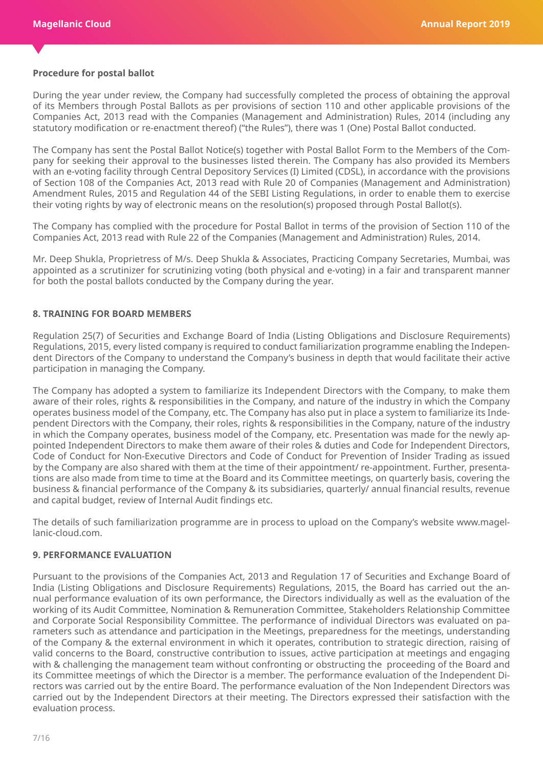## **Procedure for postal ballot**

During the year under review, the Company had successfully completed the process of obtaining the approval of its Members through Postal Ballots as per provisions of section 110 and other applicable provisions of the Companies Act, 2013 read with the Companies (Management and Administration) Rules, 2014 (including any statutory modification or re-enactment thereof) ("the Rules"), there was 1 (One) Postal Ballot conducted.

The Company has sent the Postal Ballot Notice(s) together with Postal Ballot Form to the Members of the Company for seeking their approval to the businesses listed therein. The Company has also provided its Members with an e-voting facility through Central Depository Services (I) Limited (CDSL), in accordance with the provisions of Section 108 of the Companies Act, 2013 read with Rule 20 of Companies (Management and Administration) Amendment Rules, 2015 and Regulation 44 of the SEBI Listing Regulations, in order to enable them to exercise their voting rights by way of electronic means on the resolution(s) proposed through Postal Ballot(s).

The Company has complied with the procedure for Postal Ballot in terms of the provision of Section 110 of the Companies Act, 2013 read with Rule 22 of the Companies (Management and Administration) Rules, 2014.

Mr. Deep Shukla, Proprietress of M/s. Deep Shukla & Associates, Practicing Company Secretaries, Mumbai, was appointed as a scrutinizer for scrutinizing voting (both physical and e-voting) in a fair and transparent manner for both the postal ballots conducted by the Company during the year.

#### **8. TRAINING FOR BOARD MEMBERS**

Regulation 25(7) of Securities and Exchange Board of India (Listing Obligations and Disclosure Requirements) Regulations, 2015, every listed company is required to conduct familiarization programme enabling the Independent Directors of the Company to understand the Company's business in depth that would facilitate their active participation in managing the Company.

The Company has adopted a system to familiarize its Independent Directors with the Company, to make them aware of their roles, rights & responsibilities in the Company, and nature of the industry in which the Company operates business model of the Company, etc. The Company has also put in place a system to familiarize its Independent Directors with the Company, their roles, rights & responsibilities in the Company, nature of the industry in which the Company operates, business model of the Company, etc. Presentation was made for the newly appointed Independent Directors to make them aware of their roles & duties and Code for Independent Directors, Code of Conduct for Non-Executive Directors and Code of Conduct for Prevention of Insider Trading as issued by the Company are also shared with them at the time of their appointment/ re-appointment. Further, presentations are also made from time to time at the Board and its Committee meetings, on quarterly basis, covering the business & financial performance of the Company & its subsidiaries, quarterly/ annual financial results, revenue and capital budget, review of Internal Audit findings etc.

The details of such familiarization programme are in process to upload on the Company's website www.magellanic-cloud.com.

## **9. PERFORMANCE EVALUATION**

Pursuant to the provisions of the Companies Act, 2013 and Regulation 17 of Securities and Exchange Board of India (Listing Obligations and Disclosure Requirements) Regulations, 2015, the Board has carried out the annual performance evaluation of its own performance, the Directors individually as well as the evaluation of the working of its Audit Committee, Nomination & Remuneration Committee, Stakeholders Relationship Committee and Corporate Social Responsibility Committee. The performance of individual Directors was evaluated on parameters such as attendance and participation in the Meetings, preparedness for the meetings, understanding of the Company & the external environment in which it operates, contribution to strategic direction, raising of valid concerns to the Board, constructive contribution to issues, active participation at meetings and engaging with & challenging the management team without confronting or obstructing the proceeding of the Board and its Committee meetings of which the Director is a member. The performance evaluation of the Independent Directors was carried out by the entire Board. The performance evaluation of the Non Independent Directors was carried out by the Independent Directors at their meeting. The Directors expressed their satisfaction with the evaluation process.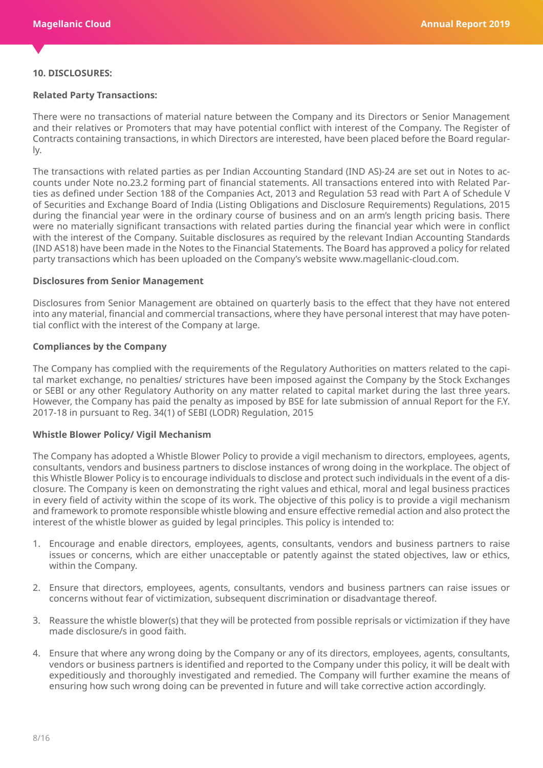#### **10. DISCLOSURES:**

## **Related Party Transactions:**

There were no transactions of material nature between the Company and its Directors or Senior Management and their relatives or Promoters that may have potential conflict with interest of the Company. The Register of Contracts containing transactions, in which Directors are interested, have been placed before the Board regularly.

The transactions with related parties as per Indian Accounting Standard (IND AS)-24 are set out in Notes to accounts under Note no.23.2 forming part of financial statements. All transactions entered into with Related Parties as defined under Section 188 of the Companies Act, 2013 and Regulation 53 read with Part A of Schedule V of Securities and Exchange Board of India (Listing Obligations and Disclosure Requirements) Regulations, 2015 during the financial year were in the ordinary course of business and on an arm's length pricing basis. There were no materially significant transactions with related parties during the financial year which were in conflict with the interest of the Company. Suitable disclosures as required by the relevant Indian Accounting Standards (IND AS18) have been made in the Notes to the Financial Statements. The Board has approved a policy for related party transactions which has been uploaded on the Company's website www.magellanic-cloud.com.

#### **Disclosures from Senior Management**

Disclosures from Senior Management are obtained on quarterly basis to the effect that they have not entered into any material, financial and commercial transactions, where they have personal interest that may have potential conflict with the interest of the Company at large.

#### **Compliances by the Company**

The Company has complied with the requirements of the Regulatory Authorities on matters related to the capital market exchange, no penalties/ strictures have been imposed against the Company by the Stock Exchanges or SEBI or any other Regulatory Authority on any matter related to capital market during the last three years. However, the Company has paid the penalty as imposed by BSE for late submission of annual Report for the F.Y. 2017-18 in pursuant to Reg. 34(1) of SEBI (LODR) Regulation, 2015

## **Whistle Blower Policy/ Vigil Mechanism**

The Company has adopted a Whistle Blower Policy to provide a vigil mechanism to directors, employees, agents, consultants, vendors and business partners to disclose instances of wrong doing in the workplace. The object of this Whistle Blower Policy is to encourage individuals to disclose and protect such individuals in the event of a disclosure. The Company is keen on demonstrating the right values and ethical, moral and legal business practices in every field of activity within the scope of its work. The objective of this policy is to provide a vigil mechanism and framework to promote responsible whistle blowing and ensure effective remedial action and also protect the interest of the whistle blower as guided by legal principles. This policy is intended to:

- 1. Encourage and enable directors, employees, agents, consultants, vendors and business partners to raise issues or concerns, which are either unacceptable or patently against the stated objectives, law or ethics, within the Company.
- 2. Ensure that directors, employees, agents, consultants, vendors and business partners can raise issues or concerns without fear of victimization, subsequent discrimination or disadvantage thereof.
- 3. Reassure the whistle blower(s) that they will be protected from possible reprisals or victimization if they have made disclosure/s in good faith.
- 4. Ensure that where any wrong doing by the Company or any of its directors, employees, agents, consultants, vendors or business partners is identified and reported to the Company under this policy, it will be dealt with expeditiously and thoroughly investigated and remedied. The Company will further examine the means of ensuring how such wrong doing can be prevented in future and will take corrective action accordingly.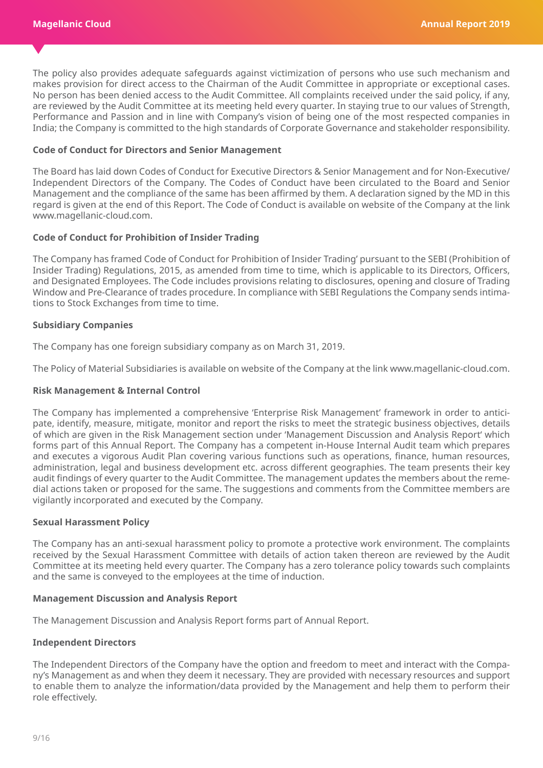The policy also provides adequate safeguards against victimization of persons who use such mechanism and makes provision for direct access to the Chairman of the Audit Committee in appropriate or exceptional cases. No person has been denied access to the Audit Committee. All complaints received under the said policy, if any, are reviewed by the Audit Committee at its meeting held every quarter. In staying true to our values of Strength, Performance and Passion and in line with Company's vision of being one of the most respected companies in India; the Company is committed to the high standards of Corporate Governance and stakeholder responsibility.

#### **Code of Conduct for Directors and Senior Management**

The Board has laid down Codes of Conduct for Executive Directors & Senior Management and for Non-Executive/ Independent Directors of the Company. The Codes of Conduct have been circulated to the Board and Senior Management and the compliance of the same has been affirmed by them. A declaration signed by the MD in this regard is given at the end of this Report. The Code of Conduct is available on website of the Company at the link www.magellanic-cloud.com.

#### **Code of Conduct for Prohibition of Insider Trading**

The Company has framed Code of Conduct for Prohibition of Insider Trading' pursuant to the SEBI (Prohibition of Insider Trading) Regulations, 2015, as amended from time to time, which is applicable to its Directors, Officers, and Designated Employees. The Code includes provisions relating to disclosures, opening and closure of Trading Window and Pre-Clearance of trades procedure. In compliance with SEBI Regulations the Company sends intimations to Stock Exchanges from time to time.

#### **Subsidiary Companies**

The Company has one foreign subsidiary company as on March 31, 2019.

The Policy of Material Subsidiaries is available on website of the Company at the link www.magellanic-cloud.com.

#### **Risk Management & Internal Control**

The Company has implemented a comprehensive 'Enterprise Risk Management' framework in order to anticipate, identify, measure, mitigate, monitor and report the risks to meet the strategic business objectives, details of which are given in the Risk Management section under 'Management Discussion and Analysis Report' which forms part of this Annual Report. The Company has a competent in-House Internal Audit team which prepares and executes a vigorous Audit Plan covering various functions such as operations, finance, human resources, administration, legal and business development etc. across different geographies. The team presents their key audit findings of every quarter to the Audit Committee. The management updates the members about the remedial actions taken or proposed for the same. The suggestions and comments from the Committee members are vigilantly incorporated and executed by the Company.

#### **Sexual Harassment Policy**

The Company has an anti-sexual harassment policy to promote a protective work environment. The complaints received by the Sexual Harassment Committee with details of action taken thereon are reviewed by the Audit Committee at its meeting held every quarter. The Company has a zero tolerance policy towards such complaints and the same is conveyed to the employees at the time of induction.

#### **Management Discussion and Analysis Report**

The Management Discussion and Analysis Report forms part of Annual Report.

#### **Independent Directors**

The Independent Directors of the Company have the option and freedom to meet and interact with the Company's Management as and when they deem it necessary. They are provided with necessary resources and support to enable them to analyze the information/data provided by the Management and help them to perform their role effectively.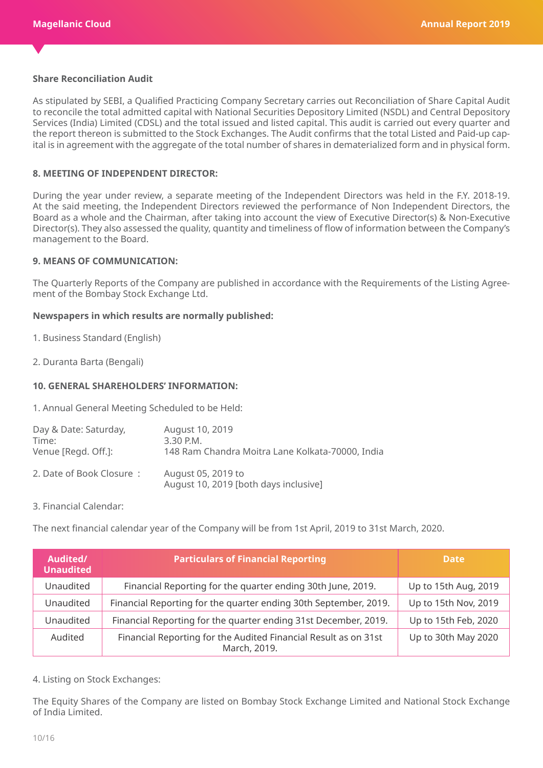#### **Share Reconciliation Audit**

As stipulated by SEBI, a Qualified Practicing Company Secretary carries out Reconciliation of Share Capital Audit to reconcile the total admitted capital with National Securities Depository Limited (NSDL) and Central Depository Services (India) Limited (CDSL) and the total issued and listed capital. This audit is carried out every quarter and the report thereon is submitted to the Stock Exchanges. The Audit confirms that the total Listed and Paid-up capital is in agreement with the aggregate of the total number of shares in dematerialized form and in physical form.

#### **8. MEETING OF INDEPENDENT DIRECTOR:**

During the year under review, a separate meeting of the Independent Directors was held in the F.Y. 2018-19. At the said meeting, the Independent Directors reviewed the performance of Non Independent Directors, the Board as a whole and the Chairman, after taking into account the view of Executive Director(s) & Non-Executive Director(s). They also assessed the quality, quantity and timeliness of flow of information between the Company's management to the Board.

#### **9. MEANS OF COMMUNICATION:**

The Quarterly Reports of the Company are published in accordance with the Requirements of the Listing Agreement of the Bombay Stock Exchange Ltd.

#### **Newspapers in which results are normally published:**

- 1. Business Standard (English)
- 2. Duranta Barta (Bengali)

#### **10. GENERAL SHAREHOLDERS' INFORMATION:**

1. Annual General Meeting Scheduled to be Held:

| Day & Date: Saturday,    | August 10, 2019                                             |
|--------------------------|-------------------------------------------------------------|
| Time:                    | 3.30 P.M.                                                   |
| Venue [Regd. Off.]:      | 148 Ram Chandra Moitra Lane Kolkata-70000, India            |
| 2. Date of Book Closure: | August 05, 2019 to<br>August 10, 2019 [both days inclusive] |

3. Financial Calendar:

The next financial calendar year of the Company will be from 1st April, 2019 to 31st March, 2020.

| Audited/<br><b>Unaudited</b> | <b>Particulars of Financial Reporting</b>                                       | <b>Date</b>          |
|------------------------------|---------------------------------------------------------------------------------|----------------------|
| Unaudited                    | Financial Reporting for the quarter ending 30th June, 2019.                     | Up to 15th Aug, 2019 |
| Unaudited                    | Financial Reporting for the quarter ending 30th September, 2019.                | Up to 15th Nov, 2019 |
| Unaudited                    | Financial Reporting for the quarter ending 31st December, 2019.                 | Up to 15th Feb, 2020 |
| Audited                      | Financial Reporting for the Audited Financial Result as on 31st<br>March, 2019. | Up to 30th May 2020  |

4. Listing on Stock Exchanges:

The Equity Shares of the Company are listed on Bombay Stock Exchange Limited and National Stock Exchange of India Limited.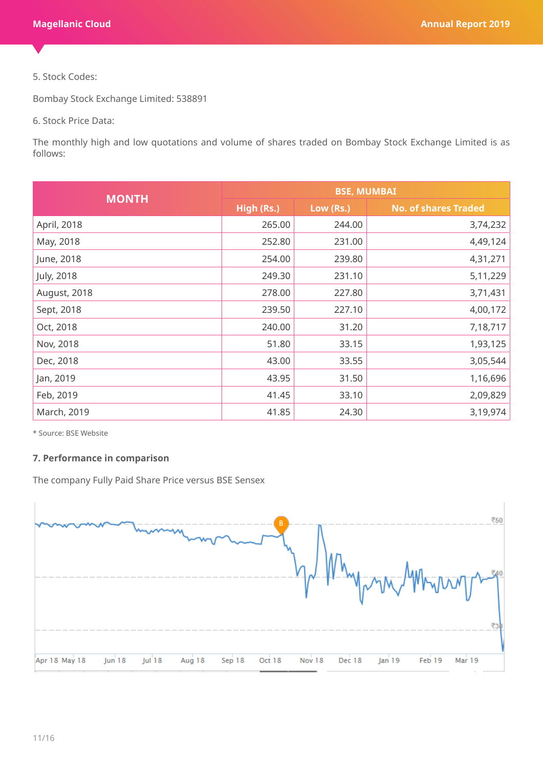5. Stock Codes:

Bombay Stock Exchange Limited: 538891

6. Stock Price Data:

The monthly high and low quotations and volume of shares traded on Bombay Stock Exchange Limited is as follows:

| <b>MONTH</b> | <b>BSE, MUMBAI</b> |           |                             |  |
|--------------|--------------------|-----------|-----------------------------|--|
|              | High (Rs.)         | Low (Rs.) | <b>No. of shares Traded</b> |  |
| April, 2018  | 265.00             | 244.00    | 3,74,232                    |  |
| May, 2018    | 252.80             | 231.00    | 4,49,124                    |  |
| June, 2018   | 254.00             | 239.80    | 4,31,271                    |  |
| July, 2018   | 249.30             | 231.10    | 5,11,229                    |  |
| August, 2018 | 278.00             | 227.80    | 3,71,431                    |  |
| Sept, 2018   | 239.50             | 227.10    | 4,00,172                    |  |
| Oct, 2018    | 240.00             | 31.20     | 7,18,717                    |  |
| Nov, 2018    | 51.80              | 33.15     | 1,93,125                    |  |
| Dec, 2018    | 43.00              | 33.55     | 3,05,544                    |  |
| Jan, 2019    | 43.95              | 31.50     | 1,16,696                    |  |
| Feb, 2019    | 41.45              | 33.10     | 2,09,829                    |  |
| March, 2019  | 41.85              | 24.30     | 3,19,974                    |  |

\* Source: BSE Website

## **7. Performance in comparison**

The company Fully Paid Share Price versus BSE Sensex

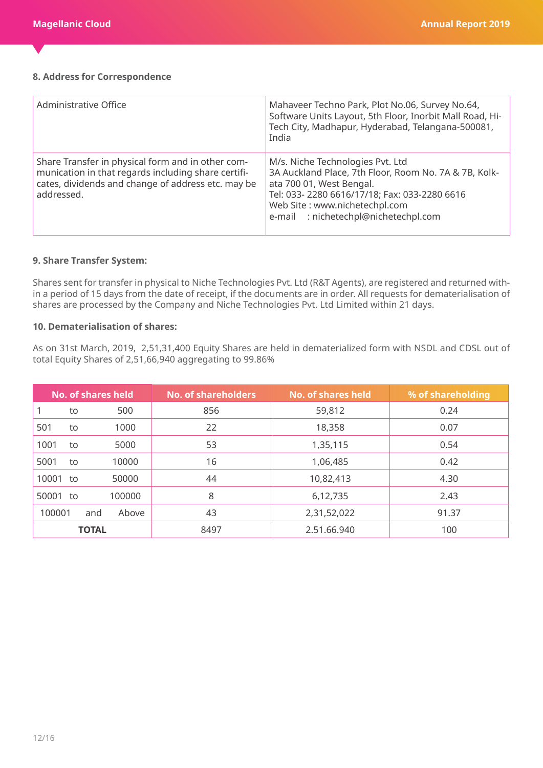## **8. Address for Correspondence**

| Administrative Office                                                                                                                                                        | Mahaveer Techno Park, Plot No.06, Survey No.64,<br>Software Units Layout, 5th Floor, Inorbit Mall Road, Hi-<br>Tech City, Madhapur, Hyderabad, Telangana-500081,<br>India                                                                        |
|------------------------------------------------------------------------------------------------------------------------------------------------------------------------------|--------------------------------------------------------------------------------------------------------------------------------------------------------------------------------------------------------------------------------------------------|
| Share Transfer in physical form and in other com-<br>munication in that regards including share certifi-<br>cates, dividends and change of address etc. may be<br>addressed. | M/s. Niche Technologies Pvt. Ltd<br>3A Auckland Place, 7th Floor, Room No. 7A & 7B, Kolk-<br>ata 700 01, West Bengal.<br>Tel: 033- 2280 6616/17/18; Fax: 033-2280 6616<br>Web Site : www.nichetechpl.com<br>e-mail : nichetechpl@nichetechpl.com |

## **9. Share Transfer System:**

Shares sent for transfer in physical to Niche Technologies Pvt. Ltd (R&T Agents), are registered and returned within a period of 15 days from the date of receipt, if the documents are in order. All requests for dematerialisation of shares are processed by the Company and Niche Technologies Pvt. Ltd Limited within 21 days.

## **10. Dematerialisation of shares:**

As on 31st March, 2019, 2,51,31,400 Equity Shares are held in dematerialized form with NSDL and CDSL out of total Equity Shares of 2,51,66,940 aggregating to 99.86%

| <b>No. of shares held</b> |     |        | <b>No. of shareholders</b> | <b>No. of shares held</b> | % of shareholding |
|---------------------------|-----|--------|----------------------------|---------------------------|-------------------|
|                           | to  | 500    | 856                        | 59,812                    | 0.24              |
| 501                       | to  | 1000   | 22                         | 18,358                    | 0.07              |
| 1001                      | to  | 5000   | 53                         | 1,35,115                  | 0.54              |
| 5001                      | to  | 10000  | 16                         | 1,06,485                  | 0.42              |
| 10001 to                  |     | 50000  | 44                         | 10,82,413                 | 4.30              |
| 50001 to                  |     | 100000 | 8                          | 6,12,735                  | 2.43              |
| 100001                    | and | Above  | 43                         | 2,31,52,022               | 91.37             |
| <b>TOTAL</b>              |     |        | 8497                       | 2.51.66.940               | 100               |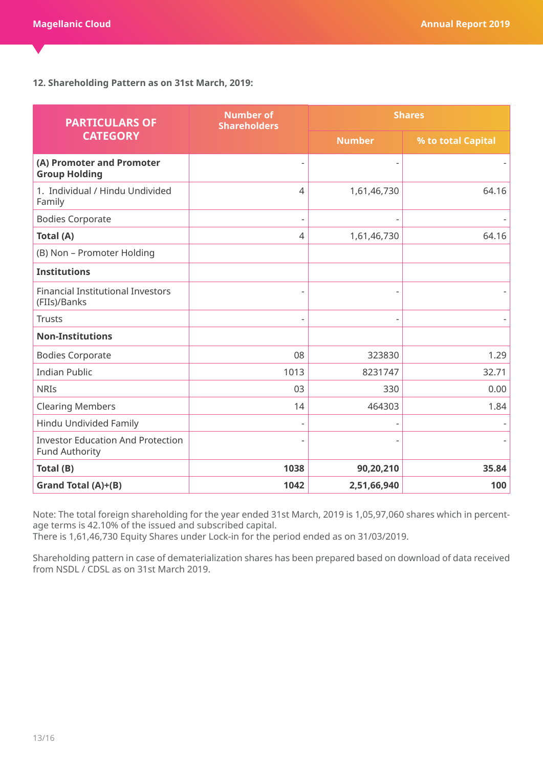## **12. Shareholding Pattern as on 31st March, 2019:**

| <b>PARTICULARS OF</b>                                             | <b>Number of</b><br><b>Shareholders</b> | <b>Shares</b>  |                    |  |
|-------------------------------------------------------------------|-----------------------------------------|----------------|--------------------|--|
| <b>CATEGORY</b>                                                   |                                         | <b>Number</b>  | % to total Capital |  |
| (A) Promoter and Promoter<br><b>Group Holding</b>                 | $\overline{\phantom{a}}$                | $\overline{a}$ |                    |  |
| 1. Individual / Hindu Undivided<br>Family                         | $\overline{4}$                          | 1,61,46,730    | 64.16              |  |
| <b>Bodies Corporate</b>                                           | $\overline{\phantom{a}}$                |                |                    |  |
| Total (A)                                                         | 4                                       | 1,61,46,730    | 64.16              |  |
| (B) Non - Promoter Holding                                        |                                         |                |                    |  |
| <b>Institutions</b>                                               |                                         |                |                    |  |
| <b>Financial Institutional Investors</b><br>(FIIs)/Banks          |                                         |                |                    |  |
| <b>Trusts</b>                                                     | $\overline{a}$                          |                |                    |  |
| <b>Non-Institutions</b>                                           |                                         |                |                    |  |
| <b>Bodies Corporate</b>                                           | 08                                      | 323830         | 1.29               |  |
| <b>Indian Public</b>                                              | 1013                                    | 8231747        | 32.71              |  |
| <b>NRIS</b>                                                       | 03                                      | 330            | 0.00               |  |
| <b>Clearing Members</b>                                           | 14                                      | 464303         | 1.84               |  |
| Hindu Undivided Family                                            | $\overline{a}$                          |                |                    |  |
| <b>Investor Education And Protection</b><br><b>Fund Authority</b> | $\overline{a}$                          |                |                    |  |
| Total (B)                                                         | 1038                                    | 90,20,210      | 35.84              |  |
| Grand Total (A)+(B)                                               | 1042                                    | 2,51,66,940    | 100                |  |

Note: The total foreign shareholding for the year ended 31st March, 2019 is 1,05,97,060 shares which in percentage terms is 42.10% of the issued and subscribed capital.

There is 1,61,46,730 Equity Shares under Lock-in for the period ended as on 31/03/2019.

Shareholding pattern in case of dematerialization shares has been prepared based on download of data received from NSDL / CDSL as on 31st March 2019.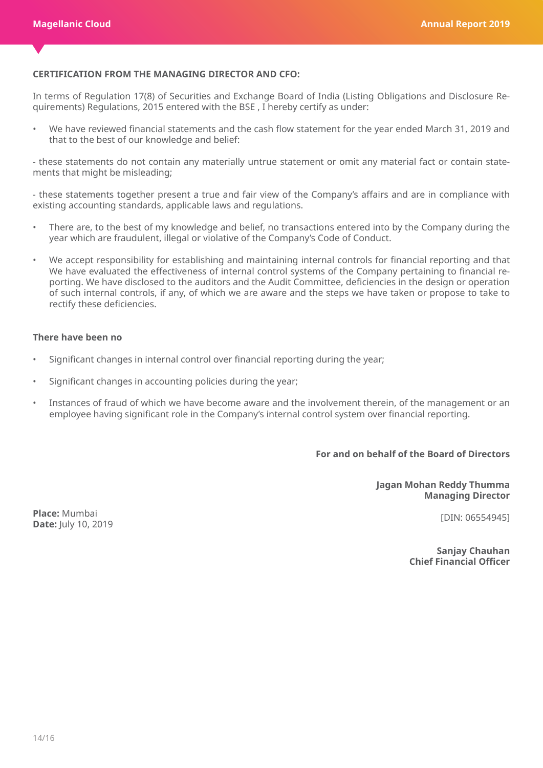#### **CERTIFICATION FROM THE MANAGING DIRECTOR AND CFO:**

In terms of Regulation 17(8) of Securities and Exchange Board of India (Listing Obligations and Disclosure Requirements) Regulations, 2015 entered with the BSE , I hereby certify as under:

• We have reviewed financial statements and the cash flow statement for the year ended March 31, 2019 and that to the best of our knowledge and belief:

- these statements do not contain any materially untrue statement or omit any material fact or contain statements that might be misleading;

- these statements together present a true and fair view of the Company's affairs and are in compliance with existing accounting standards, applicable laws and regulations.

- There are, to the best of my knowledge and belief, no transactions entered into by the Company during the year which are fraudulent, illegal or violative of the Company's Code of Conduct.
- We accept responsibility for establishing and maintaining internal controls for financial reporting and that We have evaluated the effectiveness of internal control systems of the Company pertaining to financial reporting. We have disclosed to the auditors and the Audit Committee, deficiencies in the design or operation of such internal controls, if any, of which we are aware and the steps we have taken or propose to take to rectify these deficiencies.

#### **There have been no**

- Significant changes in internal control over financial reporting during the year;
- Significant changes in accounting policies during the year;
- Instances of fraud of which we have become aware and the involvement therein, of the management or an employee having significant role in the Company's internal control system over financial reporting.

# **For and on behalf of the Board of Directors**

**Jagan Mohan Reddy Thumma Managing Director**

**Place:** Mumbai **Date:** July 10, 2019

[DIN: 06554945]

**Sanjay Chauhan Chief Financial Officer**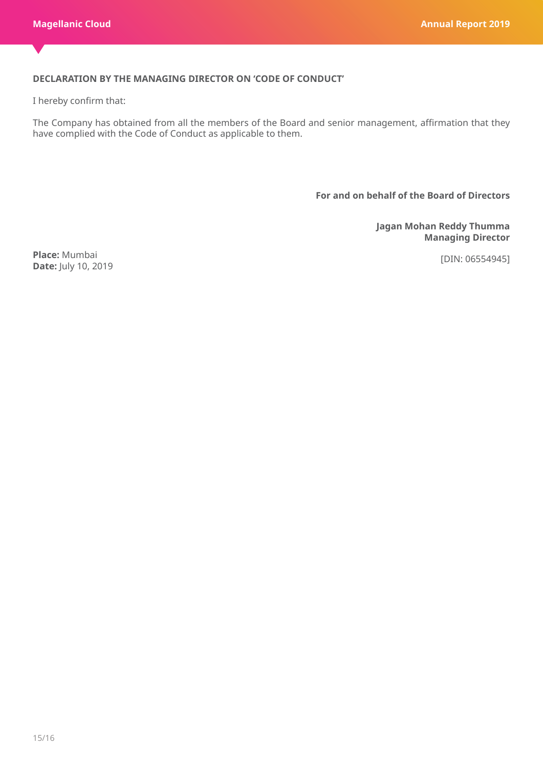## **DECLARATION BY THE MANAGING DIRECTOR ON 'CODE OF CONDUCT'**

I hereby confirm that:

The Company has obtained from all the members of the Board and senior management, affirmation that they have complied with the Code of Conduct as applicable to them.

**For and on behalf of the Board of Directors**

**Jagan Mohan Reddy Thumma Managing Director**

[DIN: 06554945] **Place:** Mumbai **Date:** July 10, 2019